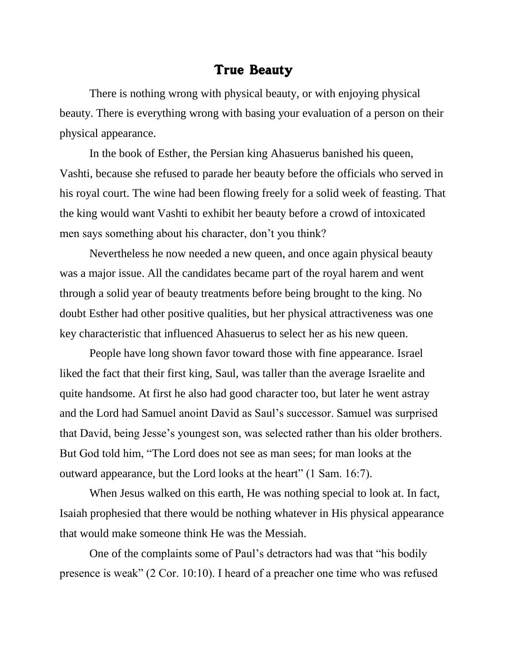## True Beauty

There is nothing wrong with physical beauty, or with enjoying physical beauty. There is everything wrong with basing your evaluation of a person on their physical appearance.

In the book of Esther, the Persian king Ahasuerus banished his queen, Vashti, because she refused to parade her beauty before the officials who served in his royal court. The wine had been flowing freely for a solid week of feasting. That the king would want Vashti to exhibit her beauty before a crowd of intoxicated men says something about his character, don't you think?

Nevertheless he now needed a new queen, and once again physical beauty was a major issue. All the candidates became part of the royal harem and went through a solid year of beauty treatments before being brought to the king. No doubt Esther had other positive qualities, but her physical attractiveness was one key characteristic that influenced Ahasuerus to select her as his new queen.

People have long shown favor toward those with fine appearance. Israel liked the fact that their first king, Saul, was taller than the average Israelite and quite handsome. At first he also had good character too, but later he went astray and the Lord had Samuel anoint David as Saul's successor. Samuel was surprised that David, being Jesse's youngest son, was selected rather than his older brothers. But God told him, "The Lord does not see as man sees; for man looks at the outward appearance, but the Lord looks at the heart" (1 Sam. 16:7).

When Jesus walked on this earth, He was nothing special to look at. In fact, Isaiah prophesied that there would be nothing whatever in His physical appearance that would make someone think He was the Messiah.

One of the complaints some of Paul's detractors had was that "his bodily presence is weak" (2 Cor. 10:10). I heard of a preacher one time who was refused